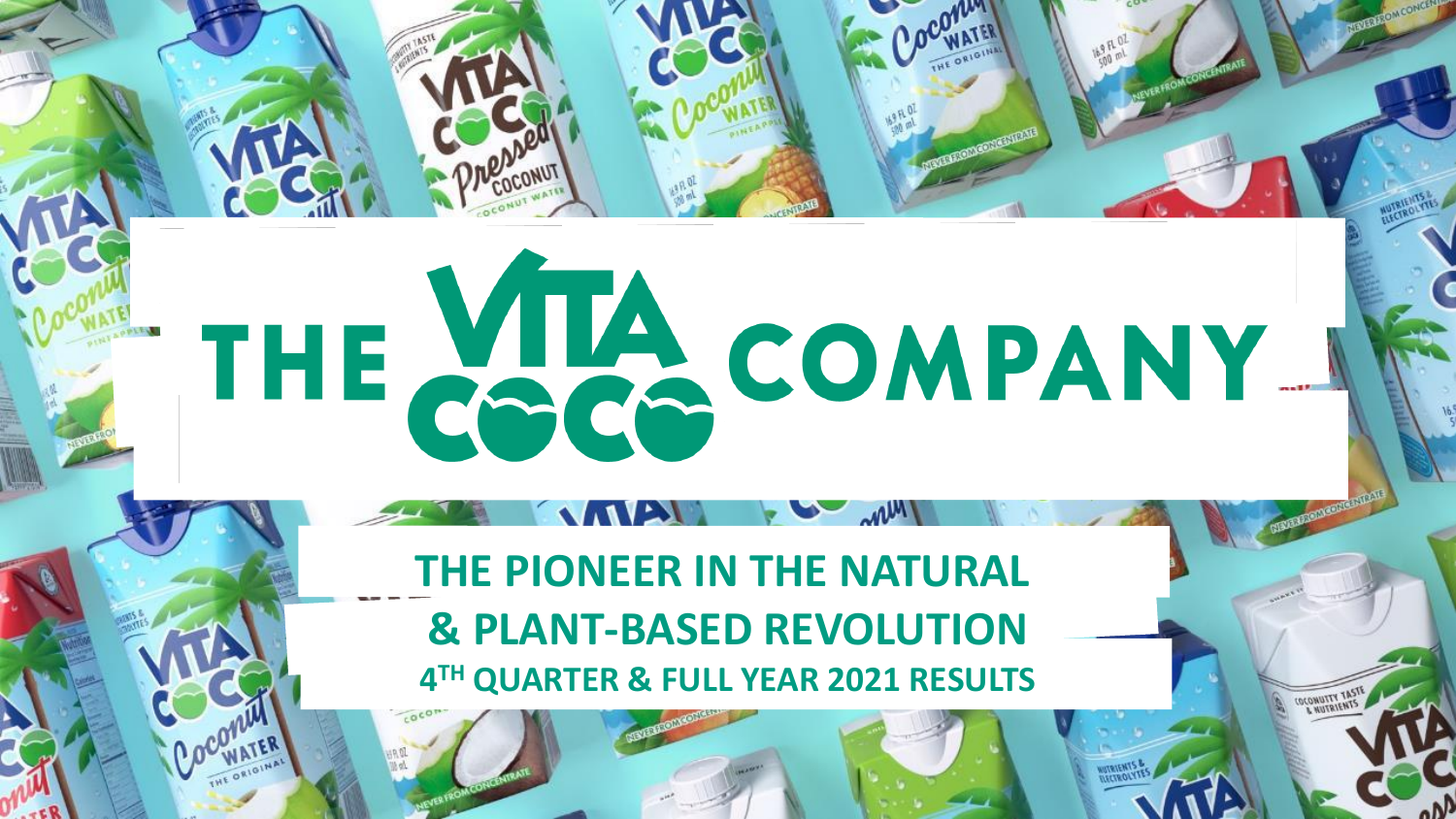# THE MIA COMPANY

# **THE PIONEER IN THE NATURAL & PLANT-BASED REVOLUTION 4 TH QUARTER & FULL YEAR 2021 RESULTS**

*LOCONUTTY TAS* 

EN V ... ORIGIN'S COLOR THE VITA COLOR COMPANY. PROPERTY AND CONFIDENTIAL 1 ...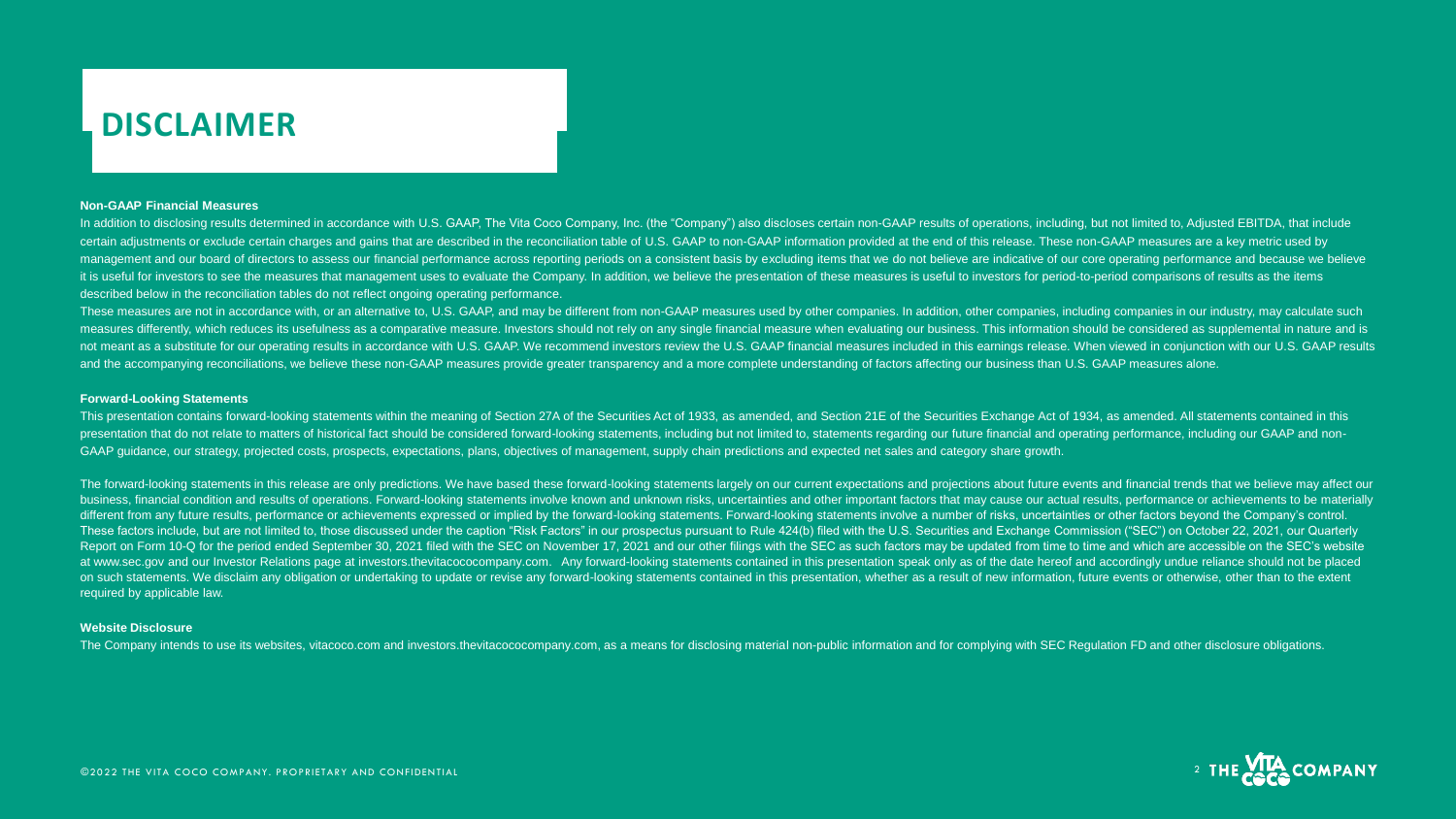### **DISCLAIMER**

### **Non-GAAP Financial Measures**

In addition to disclosing results determined in accordance with U.S. GAAP, The Vita Coco Company, Inc. (the "Company") also discloses certain non-GAAP results of operations, including, but not limited to, Adjusted EBITDA, certain adjustments or exclude certain charges and gains that are described in the reconciliation table of U.S. GAAP to non-GAAP information provided at the end of this release. These non-GAAP measures are a key metric use management and our board of directors to assess our financial performance across reporting periods on a consistent basis by excluding items that we do not believe are indicative of our core operating performance and becaus it is useful for investors to see the measures that management uses to evaluate the Company. In addition, we believe the presentation of these measures is useful to investors for period-to-period comparisons of results as described below in the reconciliation tables do not reflect ongoing operating performance.

These measures are not in accordance with, or an alternative to, U.S. GAAP, and may be different from non-GAAP measures used by other companies. In addition, other companies, including companies in our industry, may calcul measures differently, which reduces its usefulness as a comparative measure. Investors should not rely on any single financial measure when evaluating our business. This information should be considered as supplemental in not meant as a substitute for our operating results in accordance with U.S. GAAP. We recommend investors review the U.S. GAAP financial measures included in this earnings release. When viewed in conjunction with our U.S. G and the accompanying reconciliations, we believe these non-GAAP measures provide greater transparency and a more complete understanding of factors affecting our business than U.S. GAAP measures alone.

### **Forward-Looking Statements**

This presentation contains forward-looking statements within the meaning of Section 27A of the Securities Act of 1933, as amended, and Section 21E of the Securities Exchange Act of 1934, as amended. All statements containe presentation that do not relate to matters of historical fact should be considered forward-looking statements, including but not limited to, statements regarding our future financial and operating performance, including ou GAAP guidance, our strategy, projected costs, prospects, expectations, plans, objectives of management, supply chain predictions and expected net sales and category share growth.

The forward-looking statements in this release are only predictions. We have based these forward-looking statements largely on our current expectations and projections about future events and financial trends that we belie business, financial condition and results of operations. Forward-looking statements involve known and unknown risks, uncertainties and other important factors that may cause our actual results, performance or achievements different from any future results, performance or achievements expressed or implied by the forward-looking statements. Forward-looking statements involve a number of risks, uncertainties or other factors beyond the Company These factors include, but are not limited to, those discussed under the caption "Risk Factors" in our prospectus pursuant to Rule 424(b) filed with the U.S. Securities and Exchange Commission ("SEC") on October 22, 2021, Report on Form 10-Q for the period ended September 30, 2021 filed with the SEC on November 17, 2021 and our other filings with the SEC as such factors may be updated from time to time and which are accessible on the SEC's at www.sec.gov and our Investor Relations page at investors.thevitacococompany.com. Any forward-looking statements contained in this presentation speak only as of the date hereof and accordingly undue reliance should not b on such statements. We disclaim any obligation or undertaking to update or revise any forward-looking statements contained in this presentation, whether as a result of new information, future events or otherwise, other tha required by applicable law.

### **Website Disclosure**

The Company intends to use its websites, vitacoco.com and investors.thevitacococompany.com, as a means for disclosing material non-public information and for complying with SEC Regulation FD and other disclosure obligations.

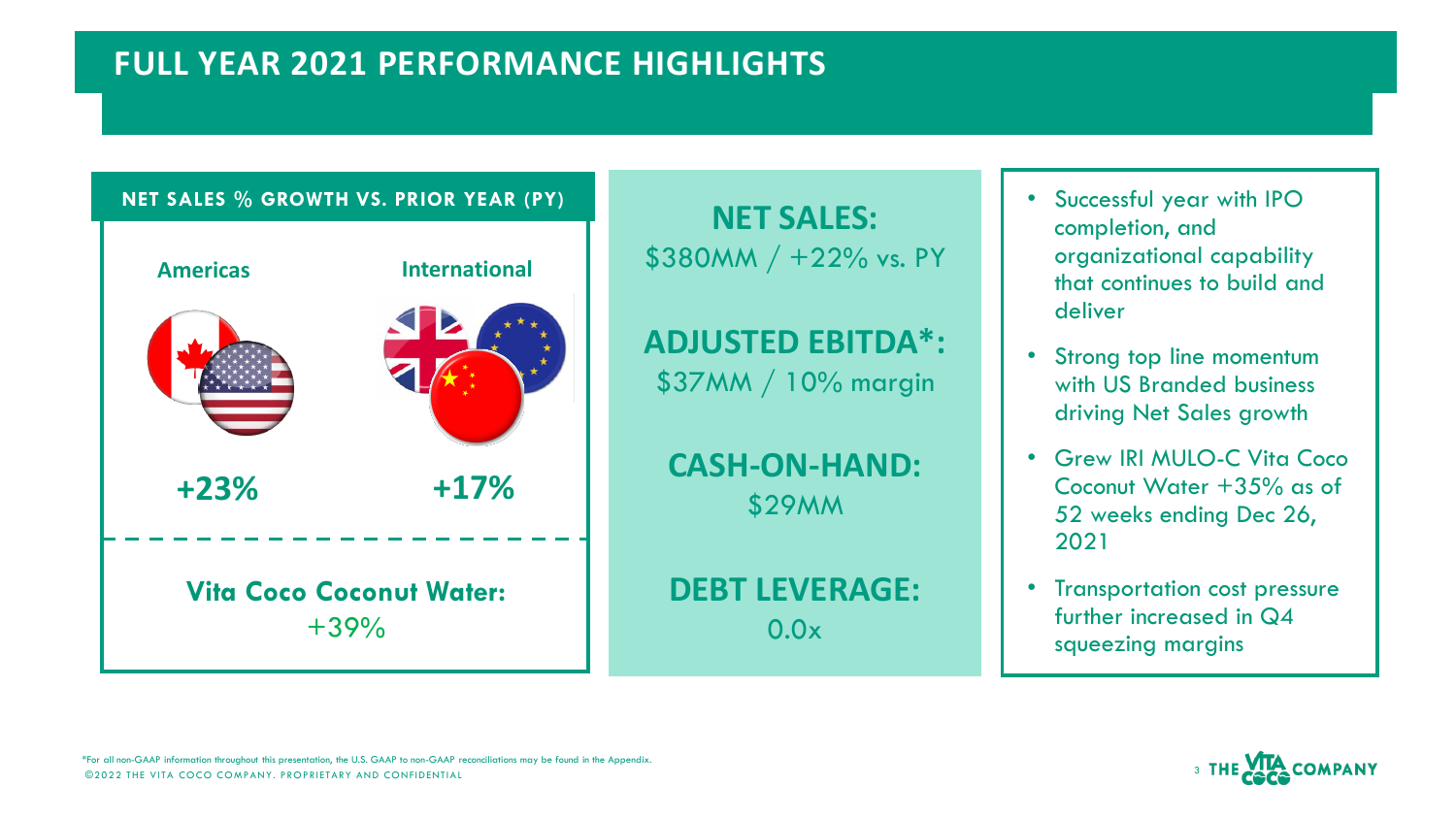### **FULL YEAR 2021 PERFORMANCE HIGHLIGHTS**



**NET SALES:**   $$380MM / +22\%$  vs. PY

**ADJUSTED EBITDA\*:**  \$37MM / 10% margin

**CASH-ON-HAND:**  \$29MM

**DEBT LEVERAGE:** 0.0x

• Successful year with IPO completion, and organizational capability that continues to build and deliver

• Strong top line momentum with US Branded business driving Net Sales growth

• Grew IRI MULO-C Vita Coco Coconut Water +35% as of 52 weeks ending Dec 26, 2021

• Transportation cost pressure further increased in Q4 squeezing margins



©2022 THE VITA COCO COMPANY. PROPRIETARY AND CONFIDENTIAL \*For all non-GAAP information throughout this presentation, the U.S. GAAP to non-GAAP reconciliations may be found in the Appendix.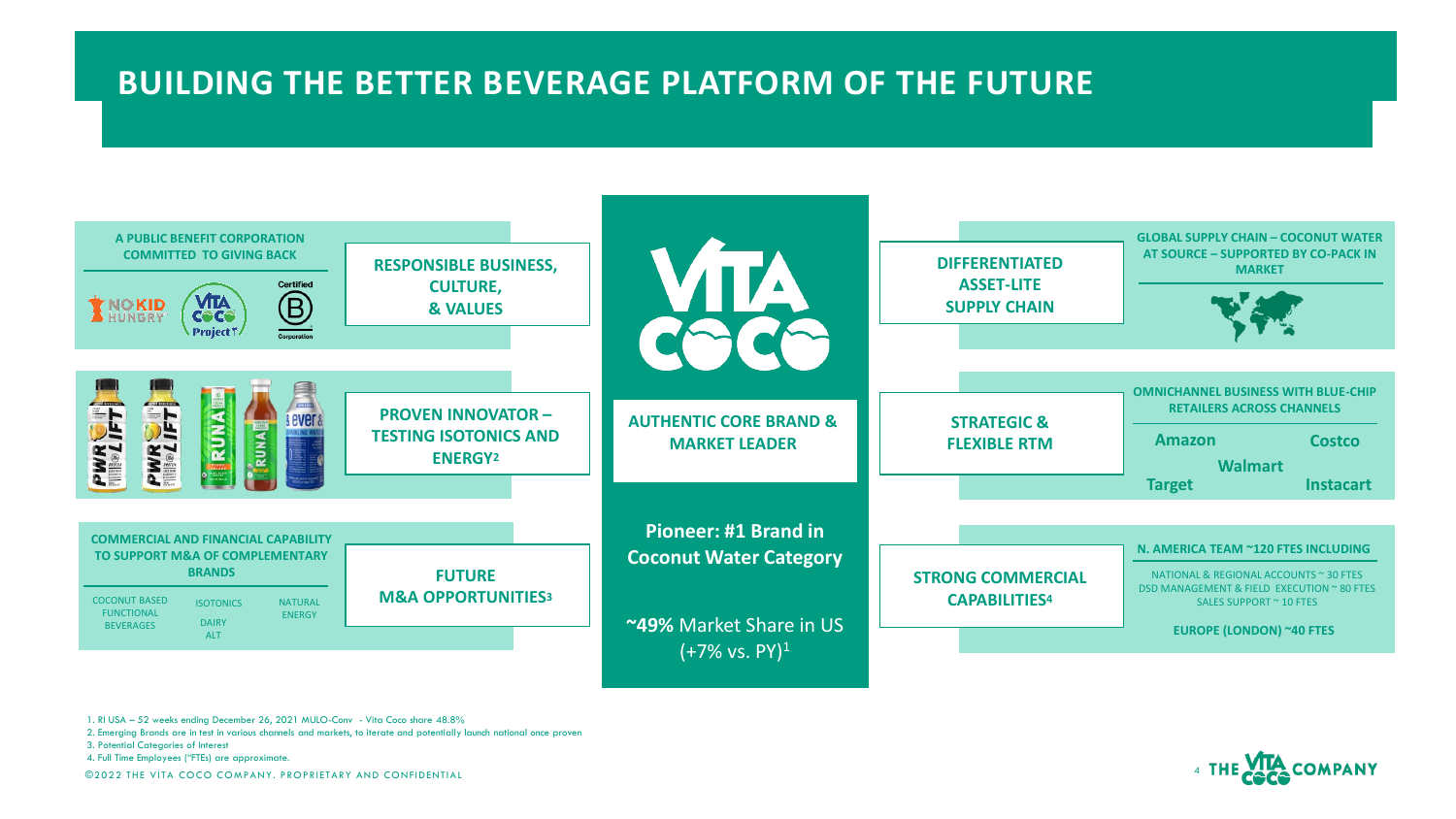# **BUILDING THE BETTER BEVERAGE PLATFORM OF THE FUTURE**



1. RI USA – 52 weeks ending December 26, 2021 MULO-Conv - Vita Coco share 48.8%

2. Emerging Brands are in test in various channels and markets, to iterate and potentially launch national once proven

3. Potential Categories of Interest

4. Full Time Employees ("FTEs) are approximate.

©2022 THE VITA COCO COMPANY. PROPRIETARY AND CONFIDENTIAL <sup>4</sup>

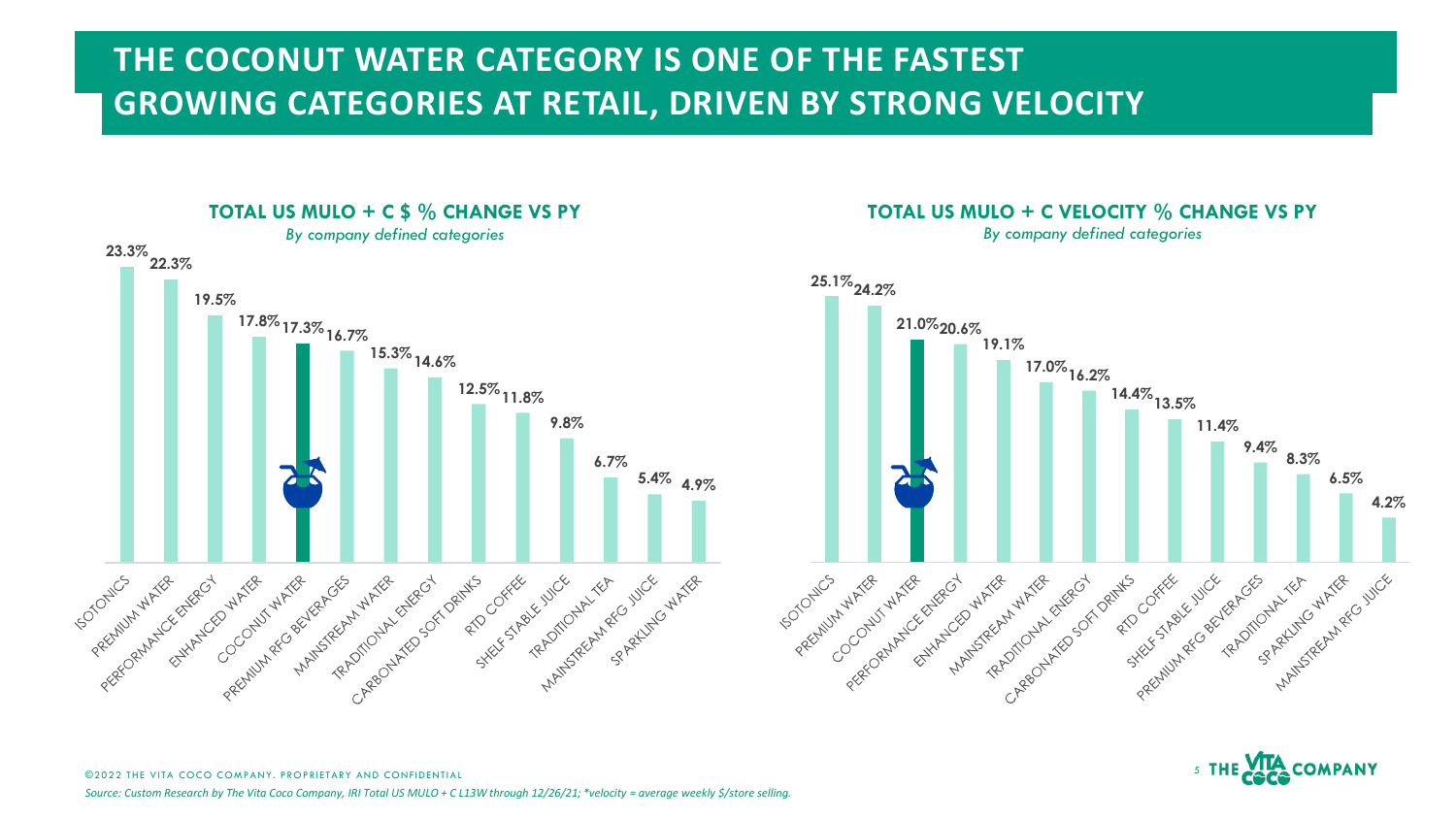# **THE COCONUT WATER CATEGORY IS ONE OF THE FASTEST GROWING CATEGORIES AT RETAIL, DRIVEN BY STRONG VELOCITY**



**GAINS**

### **TOTAL US MULO + C VELOCITY % CHANGE VS PY**

*By company defined categories*



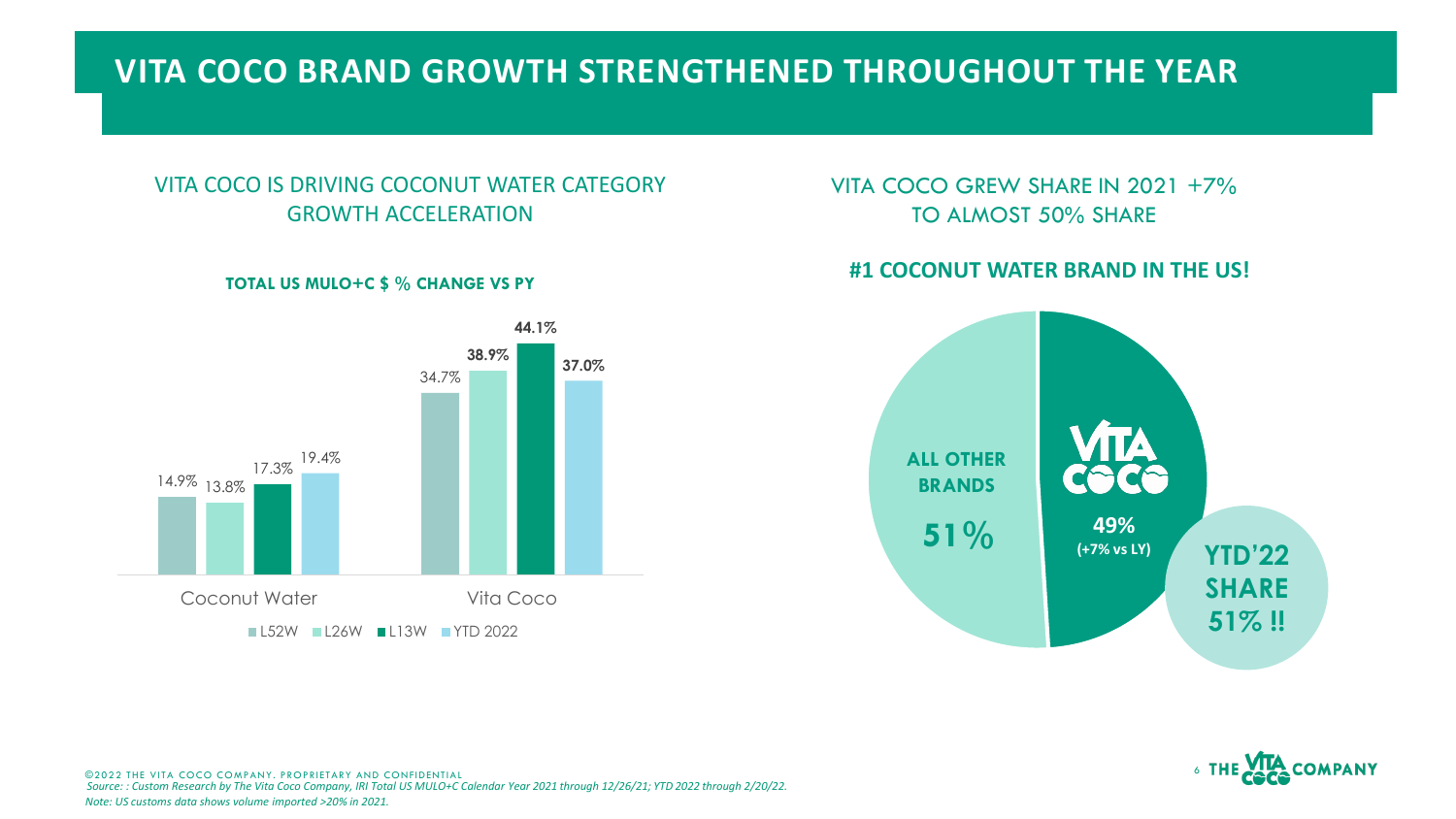### **VITA COCO BRAND GROWTH STRENGTHENED THROUGHOUT THE YEAR**

### VITA COCO IS DRIVING COCONUT WATER CATEGORY GROWTH ACCELERATION

### **TOTAL US MULO+C \$ % CHANGE VS PY**



VITA COCO GREW SHARE IN 2021 +7% TO ALMOST 50% SHARE

### **#1 COCONUT WATER BRAND IN THE US!**



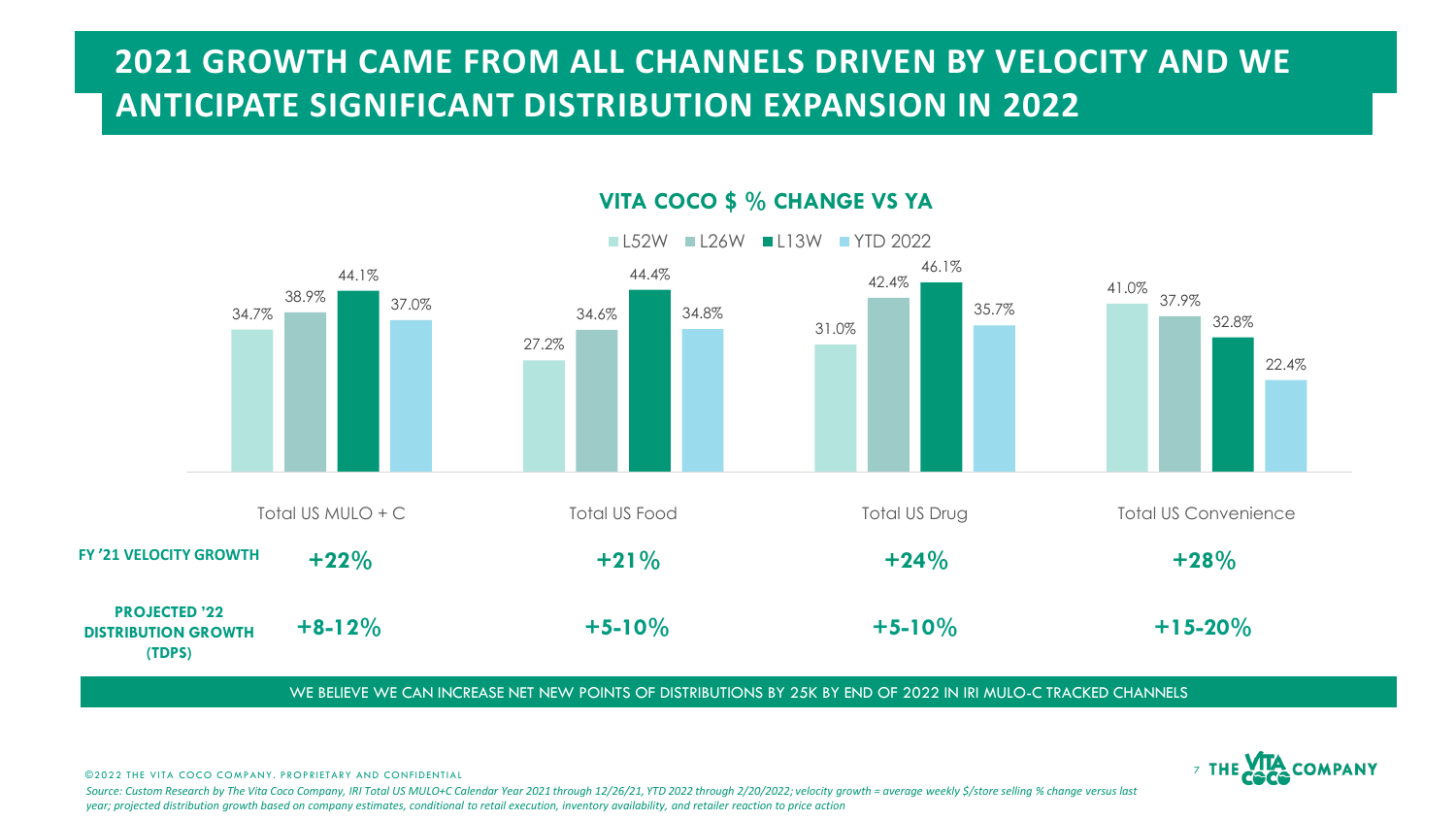# **2021 GROWTH CAME FROM ALL CHANNELS DRIVEN BY VELOCITY AND WE ANTICIPATE SIGNIFICANT DISTRIBUTION EXPANSION IN 2022**



### **VITA COCO \$ % CHANGE VS YA**

 $L52W$   $L26W$   $L13W$   $NTD 2022$ 

WE BELIEVE WE CAN INCREASE NET NEW POINTS OF DISTRIBUTIONS BY 25K BY END OF 2022 IN IRI MULO-C TRACKED CHANNELS



©2022 THE VITA COCO COMPANY. PROPRIETARY AND CONFIDENTIAL <sup>7</sup>

*Source: Custom Research by The Vita Coco Company, IRI Total US MULO+C Calendar Year 2021 through 12/26/21, YTD 2022 through 2/20/2022; velocity growth = average weekly \$/store selling % change versus last year; projected distribution growth based on company estimates, conditional to retail execution, inventory availability, and retailer reaction to price action*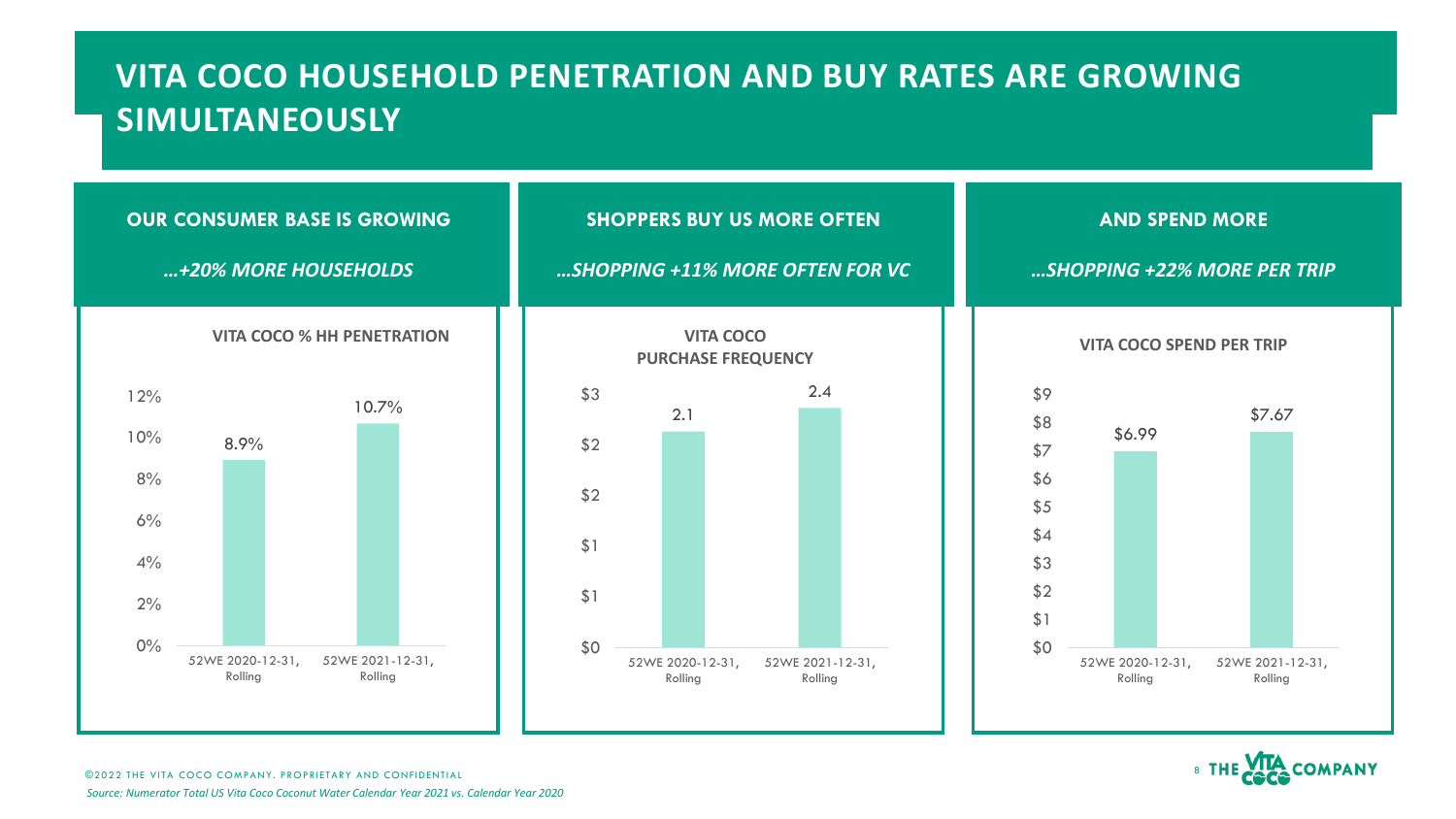# **VITA COCO HOUSEHOLD PENETRATION AND BUY RATES ARE GROWING SIMULTANEOUSLY**

| <b>OUR CONSUMER BASE IS GROWING</b>                          | <b>SHOPPERS BUY US MORE OFTEN</b>                    | <b>AND SPEND MORE</b>                                                                  |  |  |
|--------------------------------------------------------------|------------------------------------------------------|----------------------------------------------------------------------------------------|--|--|
| +20% MORE HOUSEHOLDS                                         | SHOPPING +11% MORE OFTEN FOR VC                      | SHOPPING +22% MORE PER TRIP                                                            |  |  |
| <b>VITA COCO % HH PENETRATION</b>                            | <b>VITA COCO</b><br><b>PURCHASE FREQUENCY</b>        | <b>VITA COCO SPEND PER TRIP</b>                                                        |  |  |
| 12%<br>10.7%<br>10%<br>8.9%<br>8%<br>6%<br>4%<br>2%<br>$0\%$ | 2.4<br>\$3<br>2.1<br>\$2<br>\$2<br>\$1<br>\$1<br>\$0 | \$9<br>\$7.67<br>\$8<br>\$6.99<br>\$7<br>\$6<br>\$5<br>\$4<br>\$3<br>\$2<br>\$1<br>\$0 |  |  |
| 52WE 2020-12-31,                                             | 52WE 2020-12-31,                                     | 52WE 2020-12-31,                                                                       |  |  |
| 52WE 2021-12-31,                                             | 52WE 2021-12-31,                                     | 52WE 2021-12-31,                                                                       |  |  |
| Rolling                                                      | Rolling                                              | Rolling                                                                                |  |  |
| Rolling                                                      | Rolling                                              | Rolling                                                                                |  |  |

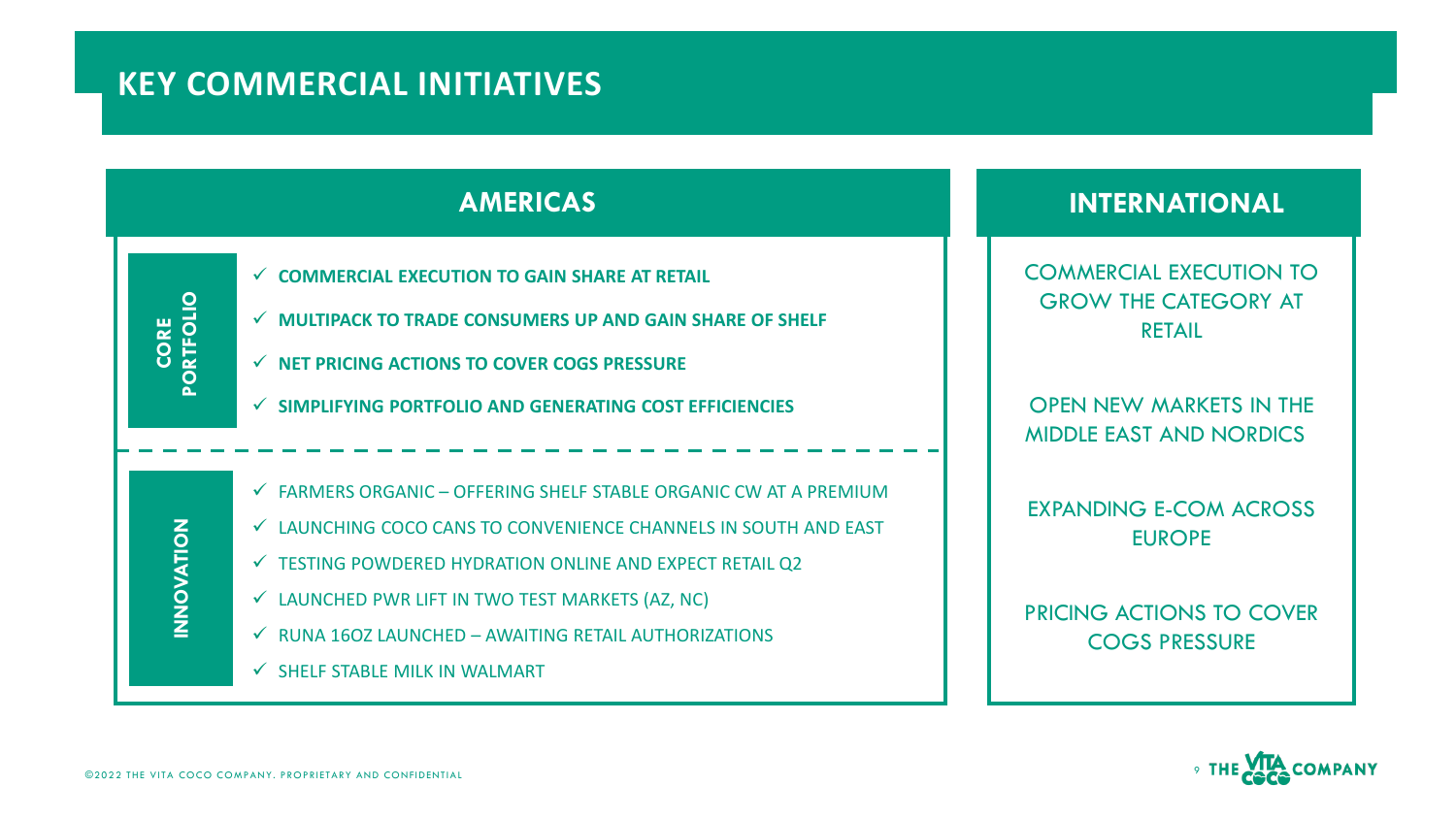### **KEY COMMERCIAL INITIATIVES**



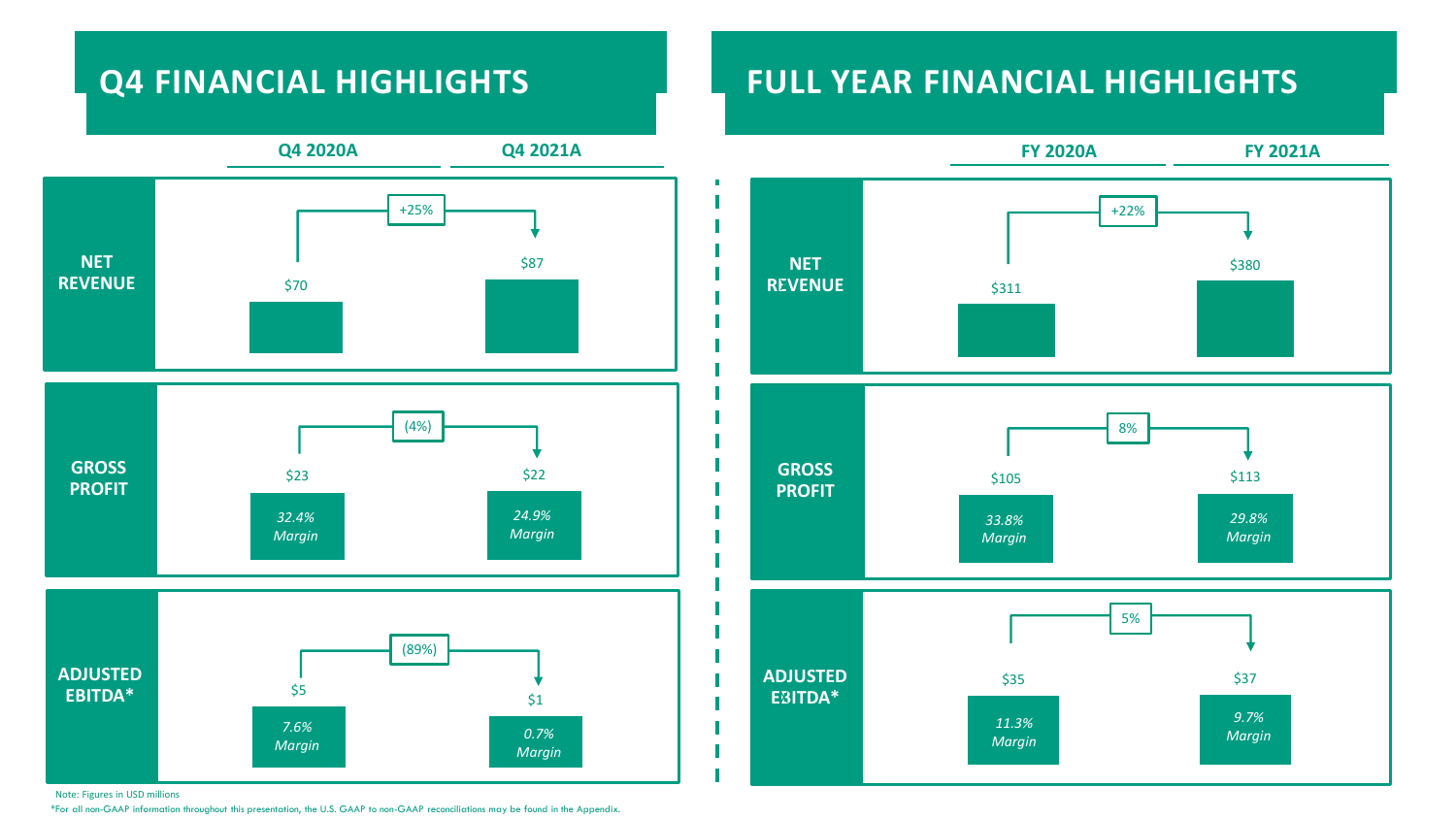## **Q4 FINANCIAL HIGHLIGHTS FULL YEAR FINANCIAL HIGHLIGHTS**





Note: Figures in USD millions

\*For all non-GAAP information throughout this presentation, the U.S. GAAP to non-GAAP reconciliations may be found in the Appendix.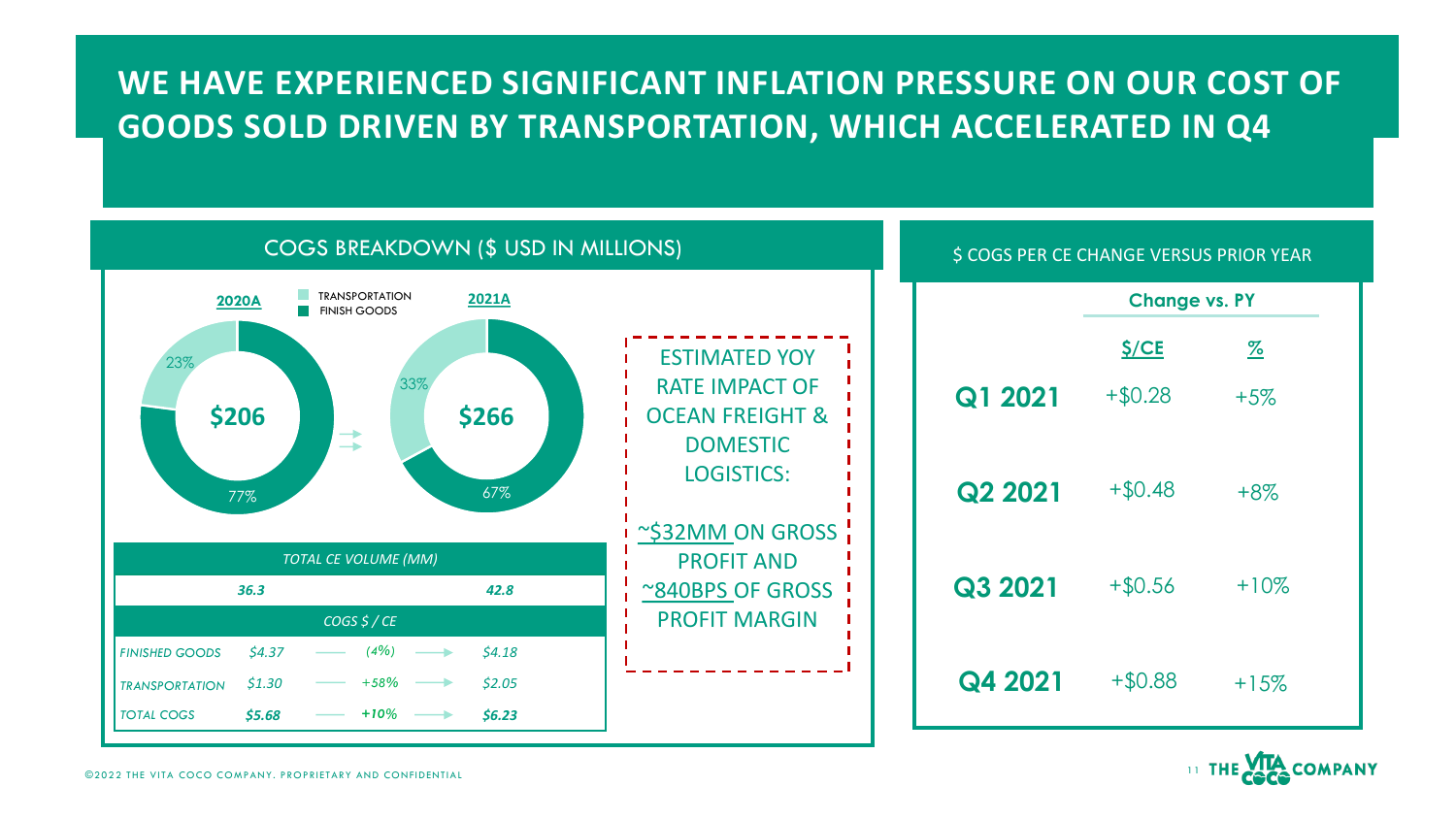# **WE HAVE EXPERIENCED SIGNIFICANT INFLATION PRESSURE ON OUR COST OF GOODS SOLD DRIVEN BY TRANSPORTATION, WHICH ACCELERATED IN Q4**



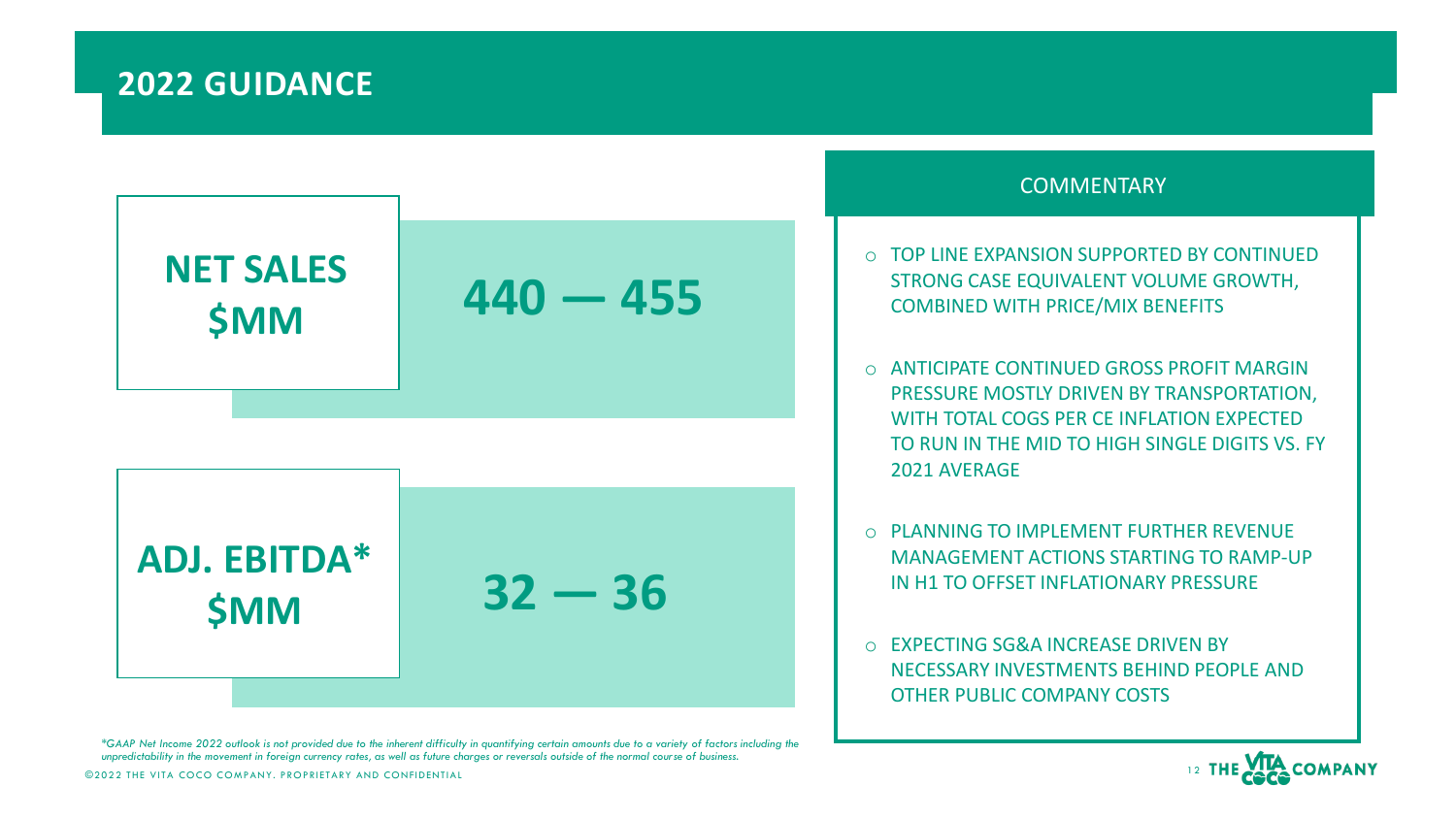### **2022 GUIDANCE**



*\*GAAP Net Income 2022 outlook is not provided due to the inherent difficulty in quantifying certain amounts due to a variety of factors including the unpredictability in the movement in foreign currency rates, as well as future charges or reversals outside of the normal course of business.*

### **COMMENTARY**

- o TOP LINE EXPANSION SUPPORTED BY CONTINUED STRONG CASE EQUIVALENT VOLUME GROWTH, COMBINED WITH PRICE/MIX BENEFITS
- o ANTICIPATE CONTINUED GROSS PROFIT MARGIN PRESSURE MOSTLY DRIVEN BY TRANSPORTATION, WITH TOTAL COGS PER CE INFLATION EXPECTED TO RUN IN THE MID TO HIGH SINGLE DIGITS VS. FY 2021 AVERAGE
- $\circ$  PLANNING TO IMPLEMENT FURTHER REVENUE MANAGEMENT ACTIONS STARTING TO RAMP-UP IN H1 TO OFFSET INFLATIONARY PRESSURE
- o EXPECTING SG&A INCREASE DRIVEN BY NECESSARY INVESTMENTS BEHIND PEOPLE AND OTHER PUBLIC COMPANY COSTS

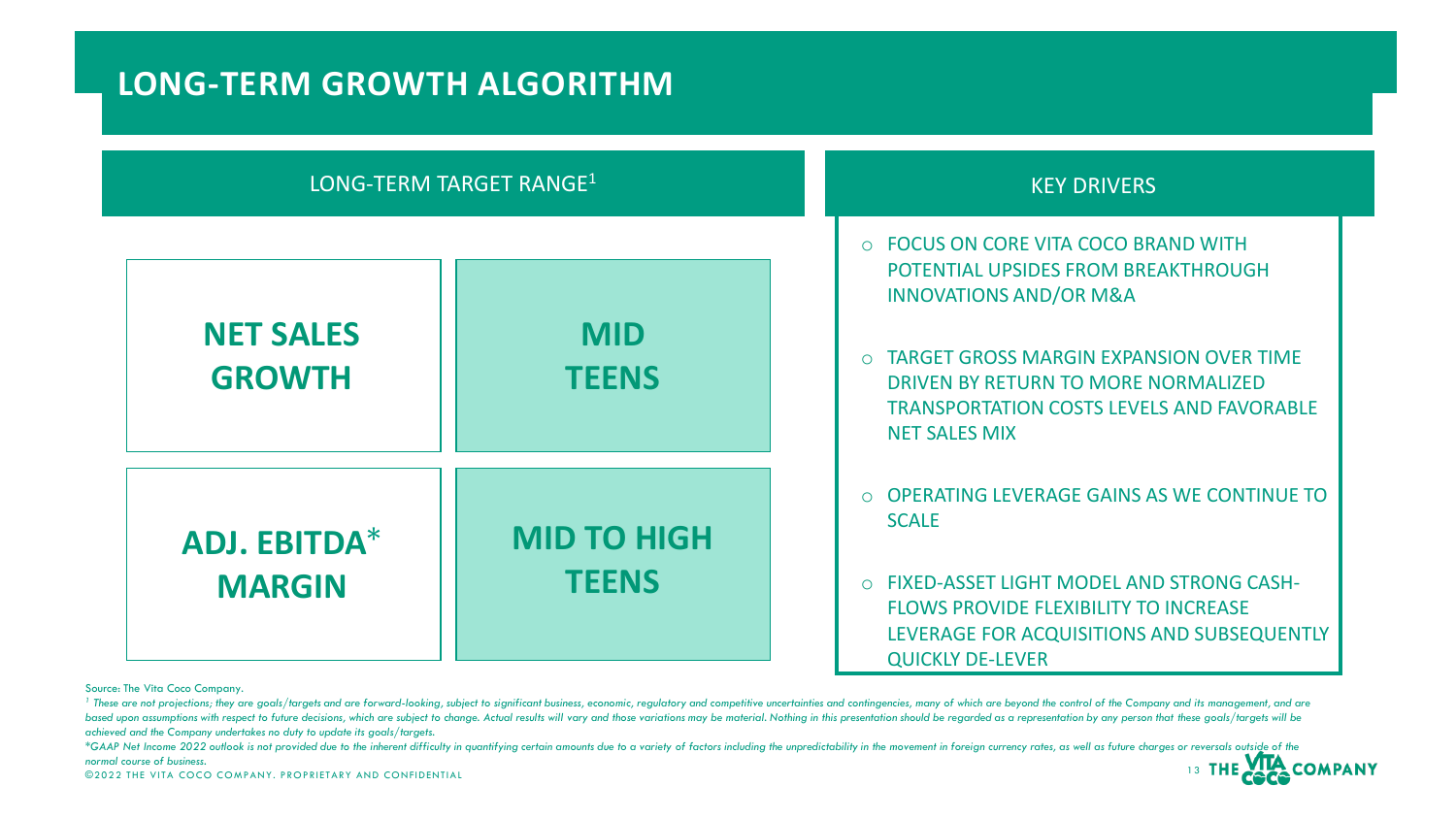## **LONG-TERM GROWTH ALGORITHM**

|                                      | LONG-TERM TARGET RANGE <sup>1</sup> | <b>KEY DRIVERS</b>                                                                                                                                                                                                                                                                                           |
|--------------------------------------|-------------------------------------|--------------------------------------------------------------------------------------------------------------------------------------------------------------------------------------------------------------------------------------------------------------------------------------------------------------|
| <b>NET SALES</b><br><b>GROWTH</b>    | <b>MID</b><br><b>TEENS</b>          | FOCUS ON CORE VITA COCO BRAND WITH<br>$\Omega$<br>POTENTIAL UPSIDES FROM BREAKTHROUGH<br><b>INNOVATIONS AND/OR M&amp;A</b><br><b>TARGET GROSS MARGIN EXPANSION OVER TIME</b><br>$\bigcap$<br>DRIVEN BY RETURN TO MORE NORMALIZED<br><b>TRANSPORTATION COSTS LEVELS AND FAVORABLE</b><br><b>NET SALES MIX</b> |
| <b>ADJ. EBITDA*</b><br><b>MARGIN</b> | <b>MID TO HIGH</b><br><b>TEENS</b>  | OPERATING LEVERAGE GAINS AS WE CONTINUE TO<br>$\Omega$<br><b>SCALE</b><br>FIXED-ASSET LIGHT MODEL AND STRONG CASH-<br>$\Omega$<br><b>FLOWS PROVIDE FLEXIBILITY TO INCREASE</b><br>LEVERAGE FOR ACQUISITIONS AND SUBSEQUENTLY<br><b>QUICKLY DE-LEVER</b>                                                      |

Source: The Vita Coco Company.

<sup>1</sup> These are not projections; they are goals/targets and are forward-looking, subject to significant business, economic, regulatory and competitive uncertainties and contingencies, many of which are beyond the control of based upon assumptions with respect to future decisions, which are subject to change. Actual results will vary and those variations may be material. Nothing in this presentation should be regarded as a representation by an *achieved and the Company undertakes no duty to update its goals/targets.*

normal course of business. **COMPANY**<br>©2022 THE VITA COCO COMPANY. PROPRIETARY AND CONFIDENTIAL 13 THE COMPANY 13 THE COMPANY \*GAAP Net Income 2022 outlook is not provided due to the inherent difficulty in quantifying certain amounts due to a variety of factors including the unpredictability in the movement in foreign currency rates, as well as f *normal course of business.*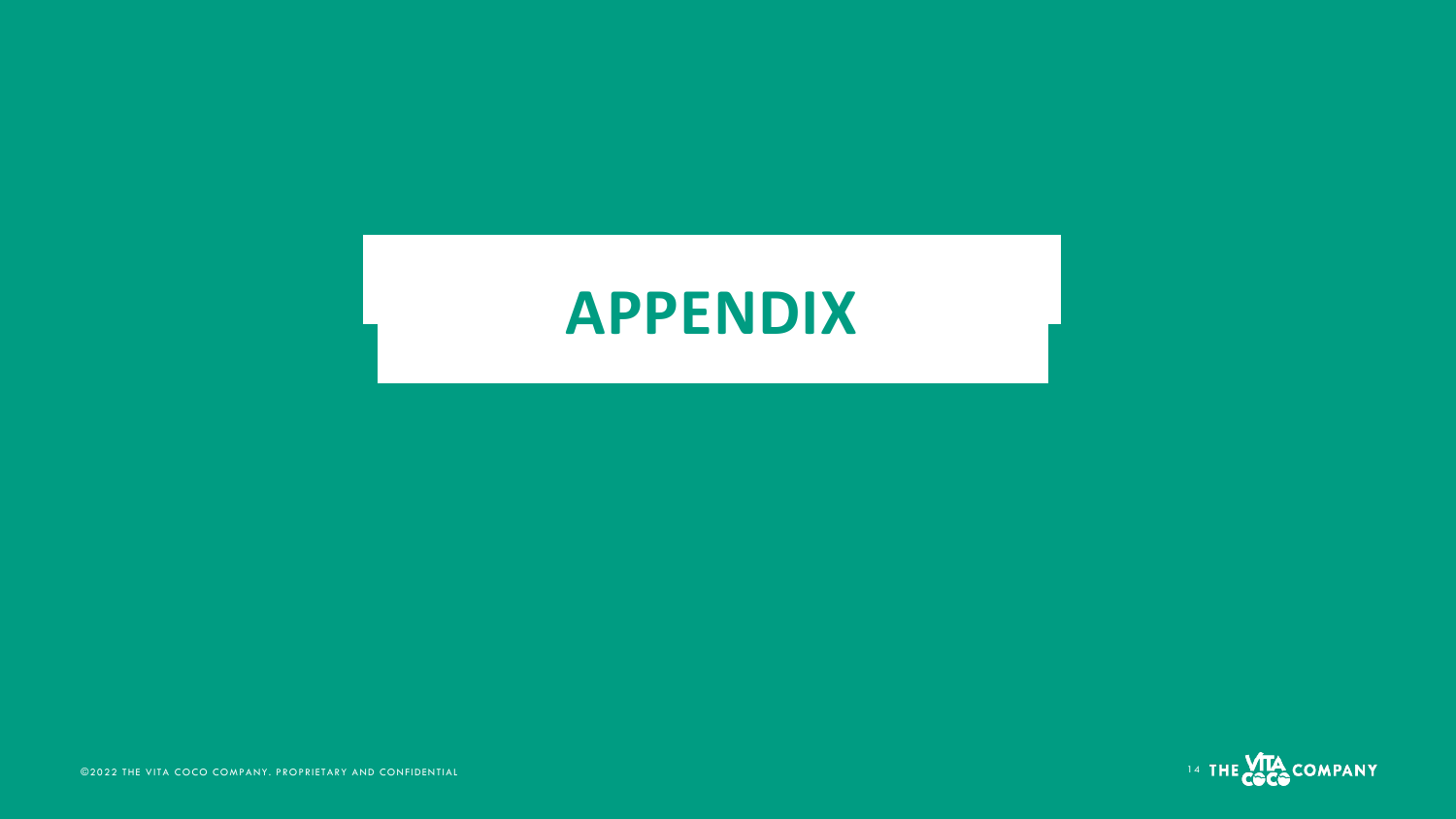# **APPENDIX**

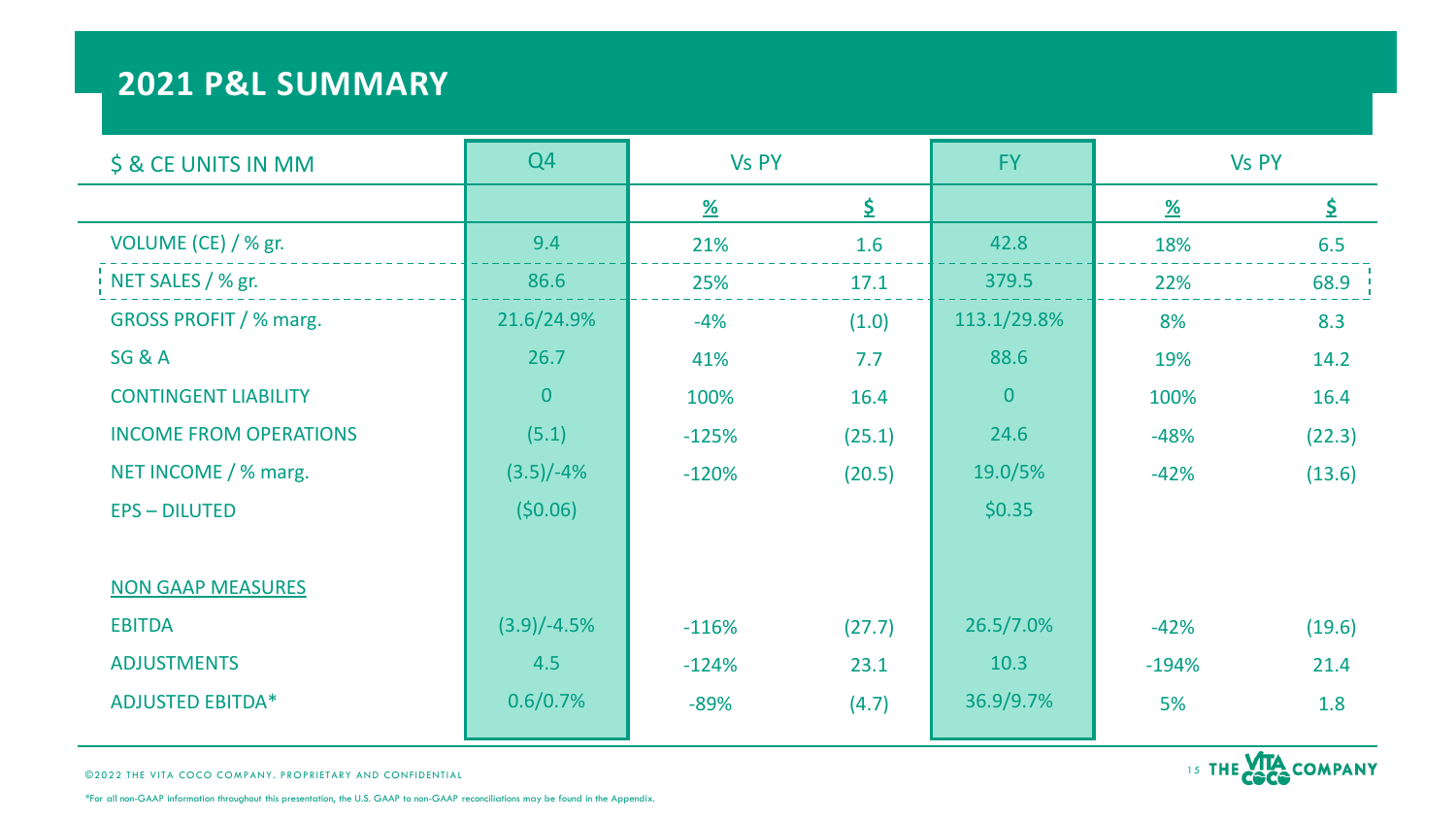# **2021 P&L SUMMARY**

| \$ & CE UNITS IN MM           | Q <sub>4</sub> | <b>Vs PY</b>    |        | <b>FY</b>      | <b>Vs PY</b>  |        |
|-------------------------------|----------------|-----------------|--------|----------------|---------------|--------|
|                               |                | $\frac{\%}{\%}$ | \$     |                | $\frac{9}{6}$ | \$     |
| VOLUME (CE) / % gr.           | 9.4            | 21%             | 1.6    | 42.8           | 18%           | 6.5    |
| NET SALES / $%$ gr.           | 86.6           | 25%             | 17.1   | 379.5          | 22%           | 68.9   |
| GROSS PROFIT / % marg.        | 21.6/24.9%     | $-4%$           | (1.0)  | 113.1/29.8%    | 8%            | 8.3    |
| <b>SG &amp; A</b>             | 26.7           | 41%             | 7.7    | 88.6           | 19%           | 14.2   |
| <b>CONTINGENT LIABILITY</b>   | $\overline{0}$ | 100%            | 16.4   | $\overline{0}$ | 100%          | 16.4   |
| <b>INCOME FROM OPERATIONS</b> | (5.1)          | $-125%$         | (25.1) | 24.6           | $-48%$        | (22.3) |
| NET INCOME / % marg.          | $(3.5)/-4%$    | $-120%$         | (20.5) | 19.0/5%        | $-42%$        | (13.6) |
| <b>EPS - DILUTED</b>          | (50.06)        |                 |        | \$0.35         |               |        |
|                               |                |                 |        |                |               |        |
| <b>NON GAAP MEASURES</b>      |                |                 |        |                |               |        |
| <b>EBITDA</b>                 | $(3.9)/-4.5%$  | $-116%$         | (27.7) | 26.5/7.0%      | $-42%$        | (19.6) |
| <b>ADJUSTMENTS</b>            | 4.5            | $-124%$         | 23.1   | 10.3           | $-194%$       | 21.4   |
| <b>ADJUSTED EBITDA*</b>       | 0.6/0.7%       | $-89%$          | (4.7)  | 36.9/9.7%      | 5%            | 1.8    |
|                               |                |                 |        |                |               |        |



\*For all non-GAAP information throughout this presentation, the U.S. GAAP to non-GAAP reconciliations may be found in the Appendix.